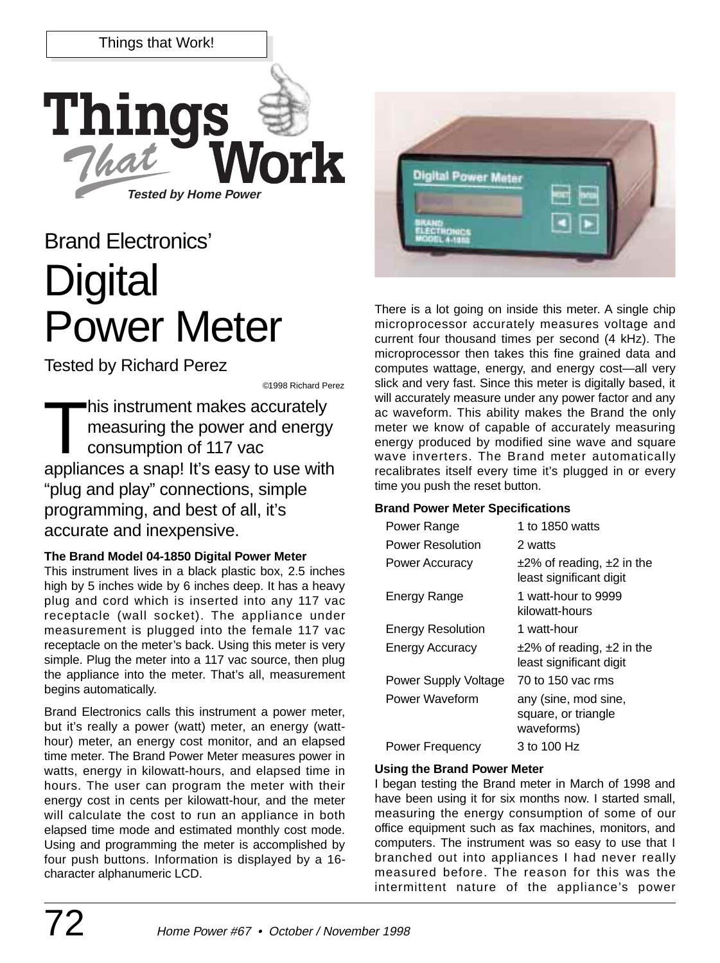

# Brand Electronics' **Digital** Power Meter

Tested by Richard Perez

©1998 Richard Perez

This instrument makes accurately<br>measuring the power and energy<br>consumption of 117 vac measuring the power and energy consumption of 117 vac appliances a snap! It's easy to use with "plug and play" connections, simple programming, and best of all, it's accurate and inexpensive.

## **The Brand Model 04-1850 Digital Power Meter**

This instrument lives in a black plastic box, 2.5 inches high by 5 inches wide by 6 inches deep. It has a heavy plug and cord which is inserted into any 117 vac receptacle (wall socket). The appliance under measurement is plugged into the female 117 vac receptacle on the meter's back. Using this meter is very simple. Plug the meter into a 117 vac source, then plug the appliance into the meter. That's all, measurement begins automatically.

Brand Electronics calls this instrument a power meter, but it's really a power (watt) meter, an energy (watthour) meter, an energy cost monitor, and an elapsed time meter. The Brand Power Meter measures power in watts, energy in kilowatt-hours, and elapsed time in hours. The user can program the meter with their energy cost in cents per kilowatt-hour, and the meter will calculate the cost to run an appliance in both elapsed time mode and estimated monthly cost mode. Using and programming the meter is accomplished by four push buttons. Information is displayed by a 16 character alphanumeric LCD.



There is a lot going on inside this meter. A single chip microprocessor accurately measures voltage and current four thousand times per second (4 kHz). The microprocessor then takes this fine grained data and computes wattage, energy, and energy cost—all very slick and very fast. Since this meter is digitally based, it will accurately measure under any power factor and any ac waveform. This ability makes the Brand the only meter we know of capable of accurately measuring energy produced by modified sine wave and square wave inverters. The Brand meter automatically recalibrates itself every time it's plugged in or every time you push the reset button.

## **Brand Power Meter Specifications**

| Power Range              | 1 to 1850 watts                                                |
|--------------------------|----------------------------------------------------------------|
| <b>Power Resolution</b>  | 2 watts                                                        |
| Power Accuracy           | $\pm$ 2% of reading, $\pm$ 2 in the<br>least significant digit |
| Energy Range             | 1 watt-hour to 9999<br>kilowatt-hours                          |
| <b>Energy Resolution</b> | 1 watt-hour                                                    |
| <b>Energy Accuracy</b>   | $\pm$ 2% of reading, $\pm$ 2 in the<br>least significant digit |
| Power Supply Voltage     | 70 to 150 vac rms                                              |
| Power Waveform           | any (sine, mod sine,<br>square, or triangle<br>waveforms)      |
| <b>Power Frequency</b>   | 3 to 100 Hz                                                    |

## **Using the Brand Power Meter**

I began testing the Brand meter in March of 1998 and have been using it for six months now. I started small, measuring the energy consumption of some of our office equipment such as fax machines, monitors, and computers. The instrument was so easy to use that I branched out into appliances I had never really measured before. The reason for this was the intermittent nature of the appliance's power